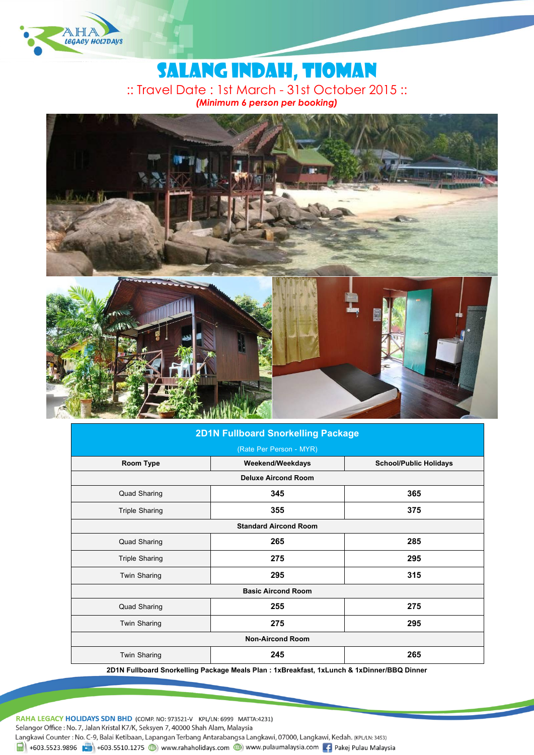

# Salang indah, TIOMAN :: Travel Date : 1st March - 31st October 2015 :: *(Minimum 6 person per booking)*



## **2D1N Fullboard Snorkelling Package**

| (Rate Per Person - MYR)      |                  |                               |  |  |
|------------------------------|------------------|-------------------------------|--|--|
| Room Type                    | Weekend/Weekdays | <b>School/Public Holidays</b> |  |  |
| <b>Deluxe Aircond Room</b>   |                  |                               |  |  |
| <b>Quad Sharing</b>          | 345              | 365                           |  |  |
| <b>Triple Sharing</b>        | 355              | 375                           |  |  |
| <b>Standard Aircond Room</b> |                  |                               |  |  |
| <b>Quad Sharing</b>          | 265              | 285                           |  |  |
| <b>Triple Sharing</b>        | 275              | 295                           |  |  |
| <b>Twin Sharing</b>          | 295              | 315                           |  |  |
| <b>Basic Aircond Room</b>    |                  |                               |  |  |
| <b>Quad Sharing</b>          | 255              | 275                           |  |  |
| <b>Twin Sharing</b>          | 275              | 295                           |  |  |
| <b>Non-Aircond Room</b>      |                  |                               |  |  |
| <b>Twin Sharing</b>          | 245              | 265                           |  |  |

**2D1N Fullboard Snorkelling Package Meals Plan : 1xBreakfast, 1xLunch & 1xDinner/BBQ Dinner**

RAHA LEGACY HOLIDAYS SDN BHD (COMP. NO: 973521-V KPL/LN: 6999 MATTA:4231) Selangor Office: No. 7, Jalan Kristal K7/K, Seksyen 7, 40000 Shah Alam, Malaysia Langkawi Counter: No. C-9, Balai Ketibaan, Lapangan Terbang Antarabangsa Langkawi, 07000, Langkawi, Kedah. (KPL/LN: 3453)  $\frac{1}{21}$  +603.5523.9896 +603.5510.1275 (b) www.rahaholidays.com (b) www.pulaumalaysia.com + Pakej Pulau Malaysia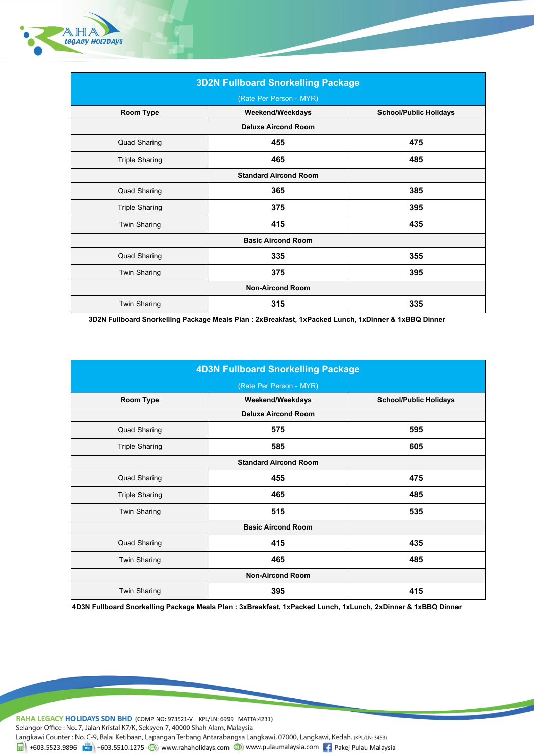

| <b>3D2N Fullboard Snorkelling Package</b><br>(Rate Per Person - MYR) |     |     |  |  |
|----------------------------------------------------------------------|-----|-----|--|--|
|                                                                      |     |     |  |  |
| <b>Deluxe Aircond Room</b>                                           |     |     |  |  |
| <b>Quad Sharing</b>                                                  | 455 | 475 |  |  |
| <b>Triple Sharing</b>                                                | 465 | 485 |  |  |
| <b>Standard Aircond Room</b>                                         |     |     |  |  |
| <b>Quad Sharing</b>                                                  | 365 | 385 |  |  |
| <b>Triple Sharing</b>                                                | 375 | 395 |  |  |
| <b>Twin Sharing</b>                                                  | 415 | 435 |  |  |
| <b>Basic Aircond Room</b>                                            |     |     |  |  |
| <b>Quad Sharing</b>                                                  | 335 | 355 |  |  |
| <b>Twin Sharing</b>                                                  | 375 | 395 |  |  |
| <b>Non-Aircond Room</b>                                              |     |     |  |  |
| <b>Twin Sharing</b>                                                  | 315 | 335 |  |  |

**3D2N Fullboard Snorkelling Package Meals Plan : 2xBreakfast, 1xPacked Lunch, 1xDinner & 1xBBQ Dinner**

| <b>4D3N Fullboard Snorkelling Package</b><br>(Rate Per Person - MYR) |     |     |  |  |
|----------------------------------------------------------------------|-----|-----|--|--|
|                                                                      |     |     |  |  |
| <b>Deluxe Aircond Room</b>                                           |     |     |  |  |
| <b>Quad Sharing</b>                                                  | 575 | 595 |  |  |
| <b>Triple Sharing</b>                                                | 585 | 605 |  |  |
| <b>Standard Aircond Room</b>                                         |     |     |  |  |
| <b>Quad Sharing</b>                                                  | 455 | 475 |  |  |
| <b>Triple Sharing</b>                                                | 465 | 485 |  |  |
| <b>Twin Sharing</b>                                                  | 515 | 535 |  |  |
| <b>Basic Aircond Room</b>                                            |     |     |  |  |
| <b>Quad Sharing</b>                                                  | 415 | 435 |  |  |
| <b>Twin Sharing</b>                                                  | 465 | 485 |  |  |
| <b>Non-Aircond Room</b>                                              |     |     |  |  |
| <b>Twin Sharing</b>                                                  | 395 | 415 |  |  |

**4D3N Fullboard Snorkelling Package Meals Plan : 3xBreakfast, 1xPacked Lunch, 1xLunch, 2xDinner & 1xBBQ Dinner**

RAHA LEGACY HOLIDAYS SDN BHD (COMP. NO: 973521-V KPL/LN: 6999 MATTA:4231) Selangor Office: No. 7, Jalan Kristal K7/K, Seksyen 7, 40000 Shah Alam, Malaysia Langkawi Counter : No. C-9, Balai Ketibaan, Lapangan Terbang Antarabangsa Langkawi, 07000, Langkawi, Kedah. (KPL/LN: 3453)

 $\frac{1}{\ln 1}$  +603.5523.9896  $\frac{1}{\ln 2}$  +603.5510.1275 (b) www.rahaholidays.com (b) www.pulaumalaysia.com  $\frac{1}{\ln 2}$  Pakej Pulau Malaysia